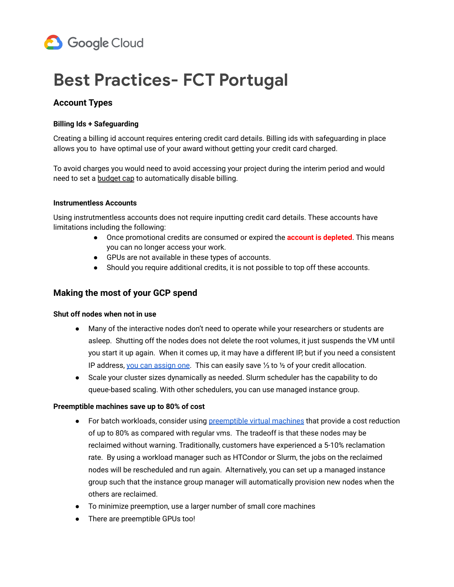

# **Best Practices- FCT Portugal**

## **Account Types**

#### **Billing Ids + Safeguarding**

Creating a billing id account requires entering credit card details. Billing ids with safeguarding in place allows you to have optimal use of your award without getting your credit card charged.

To avoid charges you would need to avoid accessing your project during the interim period and would need to set a [budget](https://cloud.google.com/billing/docs/how-to/notify#cap_disable_billing_to_stop_usage) cap to automatically disable billing.

#### **Instrumentless Accounts**

Using instrutmentless accounts does not require inputting credit card details. These accounts have limitations including the following:

- Once promotional credits are consumed or expired the **account is depleted**. This means you can no longer access your work.
- GPUs are not available in these types of accounts.
- Should you require additional credits, it is not possible to top off these accounts.

### **Making the most of your GCP spend**

#### **Shut off nodes when not in use**

- Many of the interactive nodes don't need to operate while your researchers or students are asleep. Shutting off the nodes does not delete the root volumes, it just suspends the VM until you start it up again. When it comes up, it may have a different IP, but if you need a consistent IP address, you can [assign](https://cloud.google.com/compute/docs/ip-addresses/reserve-static-external-ip-address) one. This can easily save ⅓ to ½ of your credit allocation.
- Scale your cluster sizes dynamically as needed. Slurm scheduler has the capability to do queue-based scaling. With other schedulers, you can use managed instance group.

#### **Preemptible machines save up to 80% of cost**

- For batch workloads, consider using [preemptible](https://cloud.google.com/preemptible-vms/) virtual machines that provide a cost reduction of up to 80% as compared with regular vms. The tradeoff is that these nodes may be reclaimed without warning. Traditionally, customers have experienced a 5-10% reclamation rate. By using a workload manager such as HTCondor or Slurm, the jobs on the reclaimed nodes will be rescheduled and run again. Alternatively, you can set up a managed instance group such that the instance group manager will automatically provision new nodes when the others are reclaimed.
- To minimize preemption, use a larger number of small core machines
- There are preemptible GPUs too!